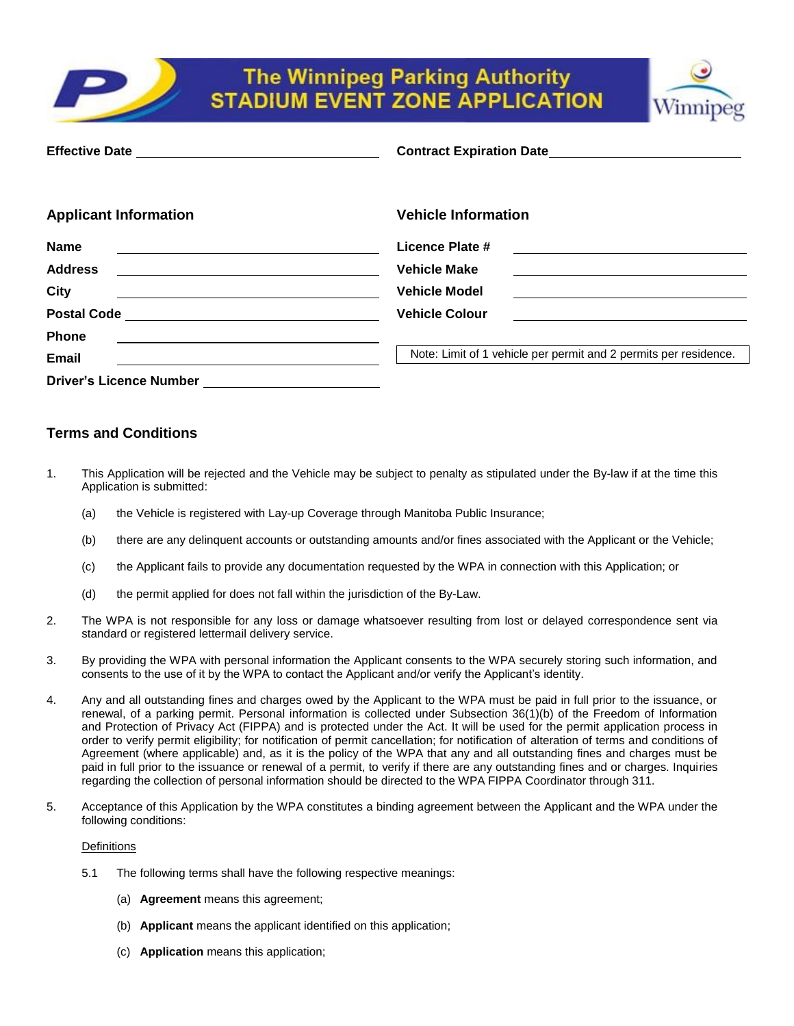

# **The Winnipeg Parking Authority STADIUM EVENT ZONE APPLICATION**



| <b>Applicant Information</b>                                                                                                             | <b>Vehicle Information</b>                                                                                                                  |  |
|------------------------------------------------------------------------------------------------------------------------------------------|---------------------------------------------------------------------------------------------------------------------------------------------|--|
| <b>Name</b><br><u> 1980 - Johann Barbara, martin amerikan personal (</u>                                                                 | Licence Plate #                                                                                                                             |  |
| <b>Address</b><br><u> 1989 - Johann Stoff, deutscher Stoffen und der Stoffen und der Stoffen und der Stoffen und der Stoffen und der</u> | <b>Vehicle Make</b>                                                                                                                         |  |
| <b>City</b>                                                                                                                              | <b>Vehicle Model</b><br><u> 1989 - John Harry Barn, mars and de Barn, mars and de Barn, mars and de Barn, mars and de Barn, mars and de</u> |  |
|                                                                                                                                          | <b>Vehicle Colour</b>                                                                                                                       |  |
| <b>Phone</b>                                                                                                                             |                                                                                                                                             |  |
| Email                                                                                                                                    | Note: Limit of 1 vehicle per permit and 2 permits per residence.                                                                            |  |
|                                                                                                                                          |                                                                                                                                             |  |

# **Terms and Conditions**

- 1. This Application will be rejected and the Vehicle may be subject to penalty as stipulated under the By-law if at the time this Application is submitted:
	- (a) the Vehicle is registered with Lay-up Coverage through Manitoba Public Insurance;
	- (b) there are any delinquent accounts or outstanding amounts and/or fines associated with the Applicant or the Vehicle;
	- (c) the Applicant fails to provide any documentation requested by the WPA in connection with this Application; or
	- (d) the permit applied for does not fall within the jurisdiction of the By-Law.
- 2. The WPA is not responsible for any loss or damage whatsoever resulting from lost or delayed correspondence sent via standard or registered lettermail delivery service.
- 3. By providing the WPA with personal information the Applicant consents to the WPA securely storing such information, and consents to the use of it by the WPA to contact the Applicant and/or verify the Applicant's identity.
- 4. Any and all outstanding fines and charges owed by the Applicant to the WPA must be paid in full prior to the issuance, or renewal, of a parking permit. Personal information is collected under Subsection 36(1)(b) of the Freedom of Information and Protection of Privacy Act (FIPPA) and is protected under the Act. It will be used for the permit application process in order to verify permit eligibility; for notification of permit cancellation; for notification of alteration of terms and conditions of Agreement (where applicable) and, as it is the policy of the WPA that any and all outstanding fines and charges must be paid in full prior to the issuance or renewal of a permit, to verify if there are any outstanding fines and or charges. Inquiries regarding the collection of personal information should be directed to the WPA FIPPA Coordinator through 311.
- 5. Acceptance of this Application by the WPA constitutes a binding agreement between the Applicant and the WPA under the following conditions:

## **Definitions**

- 5.1 The following terms shall have the following respective meanings:
	- (a) **Agreement** means this agreement;
	- (b) **Applicant** means the applicant identified on this application;
	- (c) **Application** means this application;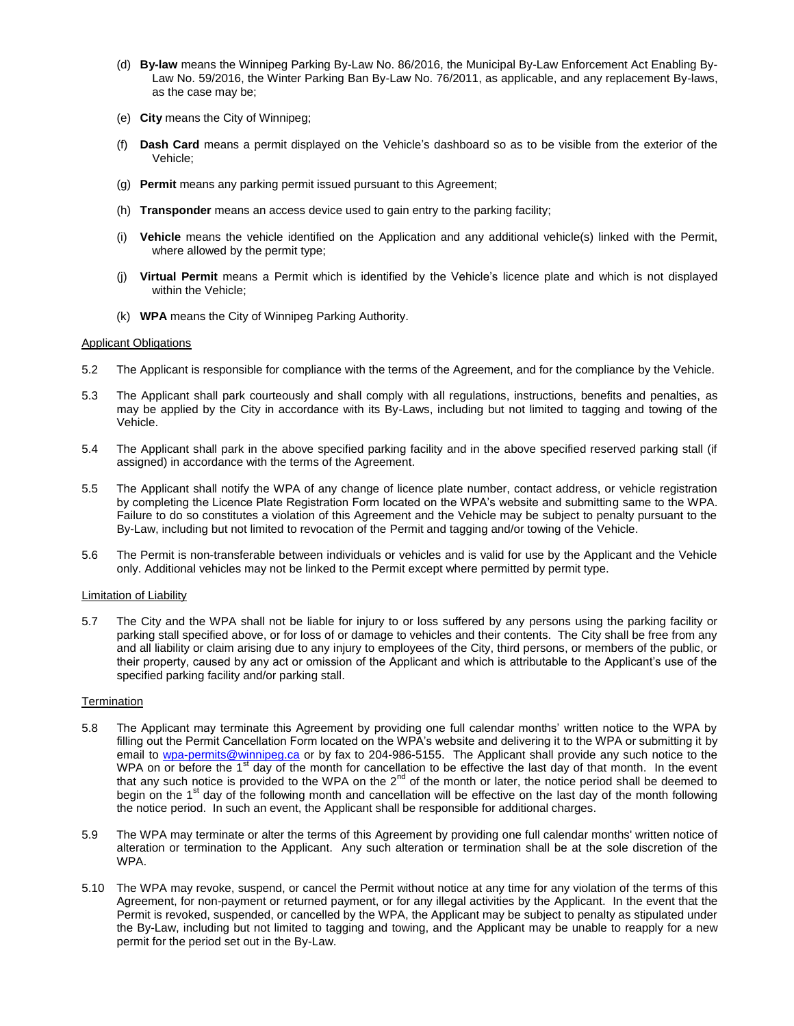- (d) **By-law** means the Winnipeg Parking By-Law No. 86/2016, the Municipal By-Law Enforcement Act Enabling By-Law No. 59/2016, the Winter Parking Ban By-Law No. 76/2011, as applicable, and any replacement By-laws, as the case may be;
- (e) **City** means the City of Winnipeg;
- (f) **Dash Card** means a permit displayed on the Vehicle's dashboard so as to be visible from the exterior of the Vehicle;
- (g) **Permit** means any parking permit issued pursuant to this Agreement;
- (h) **Transponder** means an access device used to gain entry to the parking facility;
- (i) **Vehicle** means the vehicle identified on the Application and any additional vehicle(s) linked with the Permit, where allowed by the permit type;
- (j) **Virtual Permit** means a Permit which is identified by the Vehicle's licence plate and which is not displayed within the Vehicle;
- (k) **WPA** means the City of Winnipeg Parking Authority.

#### Applicant Obligations

- 5.2 The Applicant is responsible for compliance with the terms of the Agreement, and for the compliance by the Vehicle.
- 5.3 The Applicant shall park courteously and shall comply with all regulations, instructions, benefits and penalties, as may be applied by the City in accordance with its By-Laws, including but not limited to tagging and towing of the Vehicle.
- 5.4 The Applicant shall park in the above specified parking facility and in the above specified reserved parking stall (if assigned) in accordance with the terms of the Agreement.
- 5.5 The Applicant shall notify the WPA of any change of licence plate number, contact address, or vehicle registration by completing the Licence Plate Registration Form located on the WPA's website and submitting same to the WPA. Failure to do so constitutes a violation of this Agreement and the Vehicle may be subject to penalty pursuant to the By-Law, including but not limited to revocation of the Permit and tagging and/or towing of the Vehicle.
- 5.6 The Permit is non-transferable between individuals or vehicles and is valid for use by the Applicant and the Vehicle only. Additional vehicles may not be linked to the Permit except where permitted by permit type.

#### Limitation of Liability

5.7 The City and the WPA shall not be liable for injury to or loss suffered by any persons using the parking facility or parking stall specified above, or for loss of or damage to vehicles and their contents. The City shall be free from any and all liability or claim arising due to any injury to employees of the City, third persons, or members of the public, or their property, caused by any act or omission of the Applicant and which is attributable to the Applicant's use of the specified parking facility and/or parking stall.

### **Termination**

- 5.8 The Applicant may terminate this Agreement by providing one full calendar months' written notice to the WPA by filling out the Permit Cancellation Form located on the WPA's website and delivering it to the WPA or submitting it by email to [wpa-permits@winnipeg.ca](mailto:wpa-permits@winnipeg.ca) or by fax to 204-986-5155. The Applicant shall provide any such notice to the WPA on or before the 1<sup>st</sup> day of the month for cancellation to be effective the last day of that month. In the event that any such notice is provided to the WPA on the  $2^{nd}$  of the month or later, the notice period shall be deemed to begin on the 1<sup>st</sup> day of the following month and cancellation will be effective on the last day of the month following the notice period. In such an event, the Applicant shall be responsible for additional charges.
- 5.9 The WPA may terminate or alter the terms of this Agreement by providing one full calendar months' written notice of alteration or termination to the Applicant. Any such alteration or termination shall be at the sole discretion of the WPA.
- 5.10 The WPA may revoke, suspend, or cancel the Permit without notice at any time for any violation of the terms of this Agreement, for non-payment or returned payment, or for any illegal activities by the Applicant. In the event that the Permit is revoked, suspended, or cancelled by the WPA, the Applicant may be subject to penalty as stipulated under the By-Law, including but not limited to tagging and towing, and the Applicant may be unable to reapply for a new permit for the period set out in the By-Law.